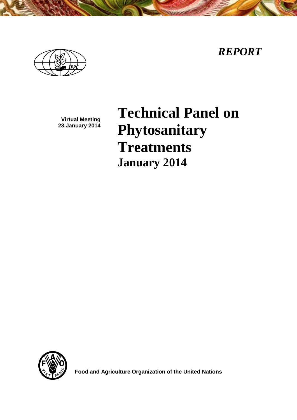*REPORT*



**Virtual Meeting 23 January 2014**

**Technical Panel on Phytosanitary Treatments January 2014**



**Food and Agriculture Organization of the United Nations**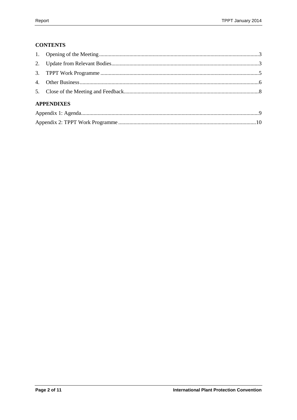## **CONTENTS**

|  | <b>APPENDIXES</b> |  |  |  |
|--|-------------------|--|--|--|
|  |                   |  |  |  |
|  |                   |  |  |  |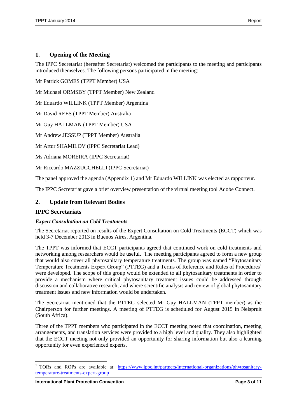## <span id="page-2-0"></span>**1. Opening of the Meeting**

The IPPC Secretariat (hereafter Secretariat) welcomed the participants to the meeting and participants introduced themselves. The following persons participated in the meeting:

Mr Patrick GOMES (TPPT Member) USA

Mr Michael ORMSBY (TPPT Member) New Zealand

Mr Eduardo WILLINK (TPPT Member) Argentina

Mr David REES (TPPT Member) Australia

Mr Guy HALLMAN (TPPT Member) USA

Mr Andrew JESSUP (TPPT Member) Australia

Mr Artur SHAMILOV (IPPC Secretariat Lead)

Ms Adriana MOREIRA (IPPC Secretariat)

Mr Riccardo MAZZUCCHELLI (IPPC Secretariat)

The panel approved the agenda (Appendix 1) and Mr Eduardo WILLINK was elected as rapporteur.

The IPPC Secretariat gave a brief overview presentation of the virtual meeting tool Adobe Connect.

## <span id="page-2-1"></span>**2. Update from Relevant Bodies**

### **IPPC Secretariats**

#### *Expert Consultation on Cold Treatments*

The Secretariat reported on results of the Expert Consultation on Cold Treatments (ECCT) which was held 3-7 December 2013 in Buenos Aires, Argentina.

The TPPT was informed that ECCT participants agreed that continued work on cold treatments and networking among researchers would be useful. The meeting participants agreed to form a new group that would also cover all phytosanitary temperature treatments. The group was named "Phytosanitary Temperature Treatments Expert Group" (PTTEG) and a Terms of Reference and Rules of Procedures<sup>1</sup> were developed. The scope of this group would be extended to all phytosanitary treatments in order to provide a mechanism where critical phytosanitary treatment issues could be addressed through discussion and collaborative research, and where scientific analysis and review of global phytosanitary treatment issues and new information would be undertaken.

The Secretariat mentioned that the PTTEG selected Mr Guy HALLMAN (TPPT member) as the Chairperson for further meetings. A meeting of PTTEG is scheduled for August 2015 in Nelspruit (South Africa).

Three of the TPPT members who participated in the ECCT meeting noted that coordination, meeting arrangements, and translation services were provided to a high level and quality. They also highlighted that the ECCT meeting not only provided an opportunity for sharing information but also a learning opportunity for even experienced experts.

l

<sup>&</sup>lt;sup>1</sup> TORs and ROPs are available at: [https://www.ippc.int/partners/international-organizations/phytosanitary](https://www.ippc.int/partners/international-organizations/phytosanitary-temperature-treatments-expert-group)[temperature-treatments-expert-group](https://www.ippc.int/partners/international-organizations/phytosanitary-temperature-treatments-expert-group)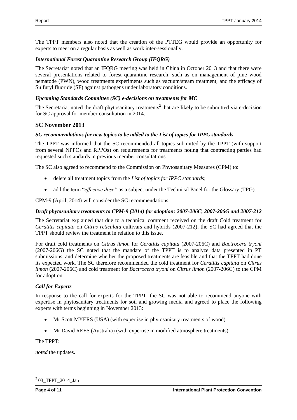The TPPT members also noted that the creation of the PTTEG would provide an opportunity for experts to meet on a regular basis as well as work inter-sessionally.

### *International Forest Quarantine Research Group (IFQRG)*

The Secretariat noted that an IFQRG meeting was held in China in October 2013 and that there were several presentations related to forest quarantine research, such as on management of pine wood nematode (PWN), wood treatments experiments such as vacuum/steam treatment, and the efficacy of Sulfuryl fluoride (SF) against pathogens under laboratory conditions.

### *Upcoming Standards Committee (SC) e-decisions on treatments for MC*

The Secretariat noted the draft phytosanitary treatments<sup>2</sup> that are likely to be submitted via e-decision for SC approval for member consultation in 2014.

### **SC November 2013**

### *SC recommendations for new topics to be added to the List of topics for IPPC standards*

The TPPT was informed that the SC recommended all topics submitted by the TPPT (with support from several NPPOs and RPPOs) on requirements for treatments noting that contracting parties had requested such standards in previous member consultations.

The SC also agreed to recommend to the Commission on Phytosanitary Measures (CPM) to:

- delete all treatment topics from the *List of topics for IPPC standards*;
- add the term "*effective dose"* as a subject under the Technical Panel for the Glossary (TPG).

CPM-9 (April, 2014) will consider the SC recommendations.

#### *Draft phytosanitary treatments to CPM-9 (2014) for adoption: 2007-206C, 2007-206G and 2007-212*

The Secretariat explained that due to a technical comment received on the draft Cold treatment for *Ceratitis capitata* on *Citrus reticulata* cultivars and hybrids (2007-212), the SC had agreed that the TPPT should review the treatment in relation to this issue.

For draft cold treatments on *Citrus limon* for *Ceratitis capitata* (2007-206C) and *Bactrocera tryoni* (2007-206G) the SC noted that the mandate of the TPPT is to analyze data presented in PT submissions, and determine whether the proposed treatments are feasible and that the TPPT had done its expected work. The SC therefore recommended the cold treatment for *Ceratitis capitata* on *Citrus limon* (2007-206C) and cold treatment for *Bactrocera tryoni* on *Citrus limon* (2007-206G) to the CPM for adoption.

#### *Call for Experts*

In response to the call for experts for the TPPT, the SC was not able to recommend anyone with expertise in phytosanitary treatments for soil and growing media and agreed to place the following experts with terms beginning in November 2013:

- Mr Scott MYERS (USA) (with expertise in phytosanitary treatments of wood)
- Mr David REES (Australia) (with expertise in modified atmosphere treatments)

The TPPT:

*noted* the updates.

 $\overline{a}$  $203$ \_TPPT\_2014\_Jan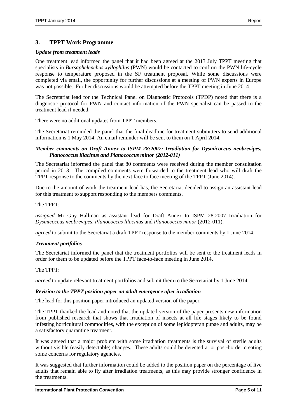## <span id="page-4-0"></span>**3. TPPT Work Programme**

### *Update from treatment leads*

One treatment lead informed the panel that it had been agreed at the 2013 July TPPT meeting that specialists in *Bursaphelenchus xyllophilus* (PWN) would be contacted to confirm the PWN life-cycle response to temperature proposed in the SF treatment proposal. While some discussions were completed via email, the opportunity for further discussions at a meeting of PWN experts in Europe was not possible. Further discussions would be attempted before the TPPT meeting in June 2014.

The Secretariat lead for the Technical Panel on Diagnostic Protocols (TPDP) noted that there is a diagnostic protocol for PWN and contact information of the PWN specialist can be passed to the treatment lead if needed.

There were no additional updates from TPPT members.

The Secretariat reminded the panel that the final deadline for treatment submitters to send additional information is 1 May 2014. An email reminder will be sent to them on 1 April 2014.

### *Member comments on Draft Annex to ISPM 28:2007: Irradiation for Dysmicoccus neobrevipes, Planococcus lilacinus and Planococcus minor (2012-011)*

The Secretariat informed the panel that 80 comments were received during the member consultation period in 2013. The compiled comments were forwarded to the treatment lead who will draft the TPPT response to the comments by the next face to face meeting of the TPPT (June 2014).

Due to the amount of work the treatment lead has, the Secretariat decided to assign an assistant lead for this treatment to support responding to the members comments.

The TPPT:

*assigned* Mr Guy Hallman as assistant lead for Draft Annex to ISPM 28:2007 Irradiation for *Dysmicoccus neobrevipes, Planococcus lilacinus* and *Planococcus minor* (2012-011).

*agreed* to submit to the Secretariat a draft TPPT response to the member comments by 1 June 2014.

#### *Treatment portfolios*

The Secretariat informed the panel that the treatment portfolios will be sent to the treatment leads in order for them to be updated before the TPPT face-to-face meeting in June 2014.

The TPPT:

*agreed* to update relevant treatment portfolios and submit them to the Secretariat by 1 June 2014.

#### *Revision to the TPPT position paper on adult emergence after irradiation*

The lead for this position paper introduced an updated version of the paper.

The TPPT thanked the lead and noted that the updated version of the paper presents new information from published research that shows that irradiation of insects at all life stages likely to be found infesting horticultural commodities, with the exception of some lepidopteran pupae and adults, may be a satisfactory quarantine treatment.

It was agreed that a major problem with some irradiation treatments is the survival of sterile adults without visible (easily detectable) changes. These adults could be detected at or post-border creating some concerns for regulatory agencies.

It was suggested that further information could be added to the position paper on the percentage of live adults that remain able to fly after irradiation treatments, as this may provide stronger confidence in the treatments.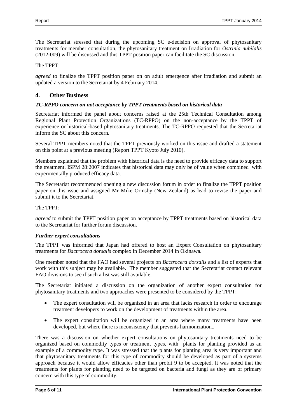The Secretariat stressed that during the upcoming SC e-decision on approval of phytosanitary treatments for member consultation, the phytosanitary treatment on Irradiation for *Ostrinia nubilalis* (2012-009) will be discussed and this TPPT position paper can facilitate the SC discussion.

The TPPT:

*agreed* to finalize the TPPT position paper on on adult emergence after irradiation and submit an updated a version to the Secretariat by 4 February 2014.

## <span id="page-5-0"></span>**4. Other Business**

## *TC-RPPO concern on not acceptance by TPPT treatments based on historical data*

Secretariat informed the panel about concerns raised at the 25th Technical Consultation among Regional Plant Protection Organizations (TC-RPPO) on the non-acceptance by the TPPT of experience or historical-based phytosanitary treatments. The TC-RPPO requested that the Secretariat inform the SC about this concern.

Several TPPT members noted that the TPPT previously worked on this issue and drafted a statement on this point at a previous meeting (Report TPPT Kyoto July 2010).

Members explained that the problem with historical data is the need to provide efficacy data to support the treatment. ISPM 28:2007 indicates that historical data may only be of value when combined with experimentally produced efficacy data.

The Secretariat recommended opening a new discussion forum in order to finalize the TPPT position paper on this issue and assigned Mr Mike Ormsby (New Zealand) as lead to revise the paper and submit it to the Secretariat.

### The TPPT:

*agreed* to submit the TPPT position paper on acceptance by TPPT treatments based on historical data to the Secretariat for further forum discussion.

## *Further expert consultations*

The TPPT was informed that Japan had offered to host an Expert Consultation on phytosanitary treatments for *Bactrocera dorsalis* complex in December 2014 in Okinawa.

One member noted that the FAO had several projects on *Bactrocera dorsalis* and a list of experts that work with this subject may be available. The member suggested that the Secretariat contact relevant FAO divisions to see if such a list was still available.

The Secretariat initiated a discussion on the organization of another expert consultation for phytosanitary treatments and two approaches were presented to be considered by the TPPT:

- The expert consultation will be organized in an area that lacks research in order to encourage treatment developers to work on the development of treatments within the area.
- The expert consultation will be organized in an area where many treatments have been developed, but where there is inconsistency that prevents harmonization..

There was a discussion on whether expert consultations on phytosanitary treatments need to be organized based on commodity types or treatment types, with plants for planting provided as an example of a commodity type. It was stressed that the plants for planting area is very important and that phytosanitary treatments for this type of commodity should be developed as part of a systems approach because it would allow efficacies other than probit 9 to be accepted. It was noted that the treatments for plants for planting need to be targeted on bacteria and fungi as they are of primary concern with this type of commodity.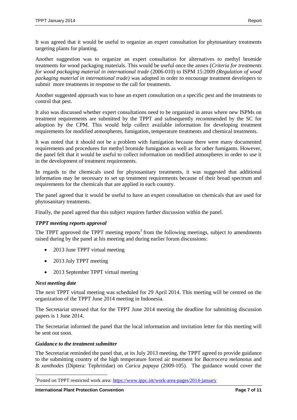It was agreed that it would be useful to organize an expert consultation for phytosanitary treatments targeting plants for planting.

Another suggestion was to organize an expert consultation for alternatives to methyl bromide treatments for wood packaging materials. This would be useful once the annex (*Criteria for treatments for wood packaging material in international trade* (2006-010) to ISPM 15:2009 *(Regulation of wood packaging material in international trade)* was adopted in order to encourage treatment developers to submit more treatments in response to the call for treatments.

Another suggested approach was to base an expert consultation on a specific pest and the treatments to control that pest.

It also was discussed whether expert consultations need to be organized in areas where new ISPMs on treatment requirements are submitted by the TPPT and subsequently recommended by the SC for adoption by the CPM. This would help collect available information for developing treatment requirements for modified atmospheres, fumigation, temperature treatments and chemical treatments.

It was noted that it should not be a problem with fumigation because there were many documented requirements and procedures for methyl bromide fumigation as well as for other fumigants. However, the panel felt that it would be useful to collect information on modified atmospheres in order to use it in the development of treatment requirements.

In regards to the chemicals used for phytosanitary treatments, it was suggested that additional information may be necessary to set up treatment requirements because of their broad spectrum and requirements for the chemicals that are applied in each country.

The panel agreed that it would be useful to have an expert consultation on chemicals that are used for phytosanitary treatments.

Finally, the panel agreed that this subject requires further discussion within the panel.

## *TPPT meeting reports approval*

The TPPT approved the TPPT meeting reports<sup>3</sup> from the following meetings, subject to amendments raised during by the panel at his meeting and during earlier forum discussions:

- 2013 June TPPT virtual meeting
- 2013 July TPPT meeting
- 2013 September TPPT virtual meeting

#### *Next meeting date*

 $\overline{a}$ 

The next TPPT virtual meeting was scheduled for 29 April 2014. This meeting will be centred on the organization of the TPPT June 2014 meeting in Indonesia.

The Secretariat stressed that for the TPPT June 2014 meeting the deadline for submitting discussion papers is 1 June 2014.

The Secretariat informed the panel that the local information and invitation letter for this meeting will be sent out soon.

#### *Guidance to the treatment submitter*

The Secretariat reminded the panel that, at its July 2013 meeting, the TPPT agreed to provide guidance to the submitting country of the high temperature forced air treatment for *Bactrocera melanotus* and *B. xanthodes* (Diptera: Tephritidae) on *Carica papaya* (2009-105). The guidance would cover the

<sup>&</sup>lt;sup>3</sup>Posted on TPPT restricted work area:<https://www.ippc.int/work-area-pages/2014-january>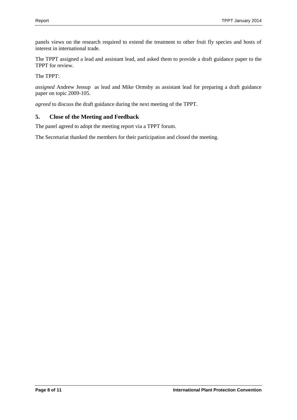panels views on the research required to extend the treatment to other fruit fly species and hosts of interest in international trade.

The TPPT assigned a lead and assistant lead, and asked them to provide a draft guidance paper to the TPPT for review.

The TPPT:

*assigned* Andrew Jessup as lead and Mike Ormsby as assistant lead for preparing a draft guidance paper on topic 2009-105.

*agreed* to discuss the draft guidance during the next meeting of the TPPT.

## <span id="page-7-0"></span>**5. Close of the Meeting and Feedback**

The panel agreed to adopt the meeting report via a TPPT forum.

The Secretariat thanked the members for their participation and closed the meeting.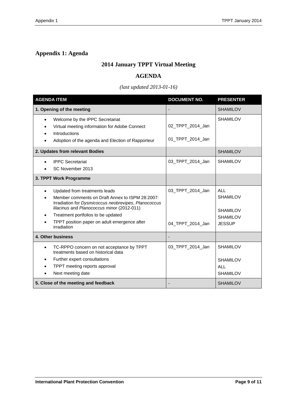## <span id="page-8-0"></span>**Appendix 1: Agenda**

## **2014 January TPPT Virtual Meeting**

## **AGENDA**

## *(last updated 2013-01-16)*

| <b>AGENDA ITEM</b>                                                                                                                                                                                                                                                                                       | <b>DOCUMENT NO.</b>                  | <b>PRESENTER</b>                                                                     |
|----------------------------------------------------------------------------------------------------------------------------------------------------------------------------------------------------------------------------------------------------------------------------------------------------------|--------------------------------------|--------------------------------------------------------------------------------------|
| 1. Opening of the meeting                                                                                                                                                                                                                                                                                |                                      | <b>SHAMILOV</b>                                                                      |
| Welcome by the IPPC Secretariat<br>$\bullet$<br>Virtual meeting information for Adobe Connect<br>Introductions<br>Adoption of the agenda and Election of Rapporteur                                                                                                                                      | 02_TPPT_2014_Jan<br>01_TPPT_2014_Jan | <b>SHAMILOV</b>                                                                      |
| 2. Updates from relevant Bodies                                                                                                                                                                                                                                                                          |                                      | <b>SHAMILOV</b>                                                                      |
| <b>IPPC Secretariat</b><br>SC November 2013                                                                                                                                                                                                                                                              | 03_TPPT_2014_Jan                     | <b>SHAMILOV</b>                                                                      |
| 3. TPPT Work Programme                                                                                                                                                                                                                                                                                   |                                      |                                                                                      |
| Updated from treatments leads<br>Member comments on Draft Annex to ISPM 28:2007:<br>Irradiation for Dysmicoccus neobrevipes, Planococcus<br>lilacinus and Planococcus minor (2012-011)<br>Treatment portfolios to be updated<br>$\bullet$<br>TPPT position paper on adult emergence after<br>irradiation | 03 TPPT 2014 Jan<br>04_TPPT_2014_Jan | <b>ALL</b><br><b>SHAMILOV</b><br><b>SHAMILOV</b><br><b>SHAMILOV</b><br><b>JESSUP</b> |
| 4. Other business                                                                                                                                                                                                                                                                                        |                                      |                                                                                      |
| TC-RPPO concern on not acceptance by TPPT<br>$\bullet$<br>treatments based on historical data<br>Further expert consultations<br>$\bullet$<br>TPPT meeting reports approval<br>Next meeting date<br>$\bullet$                                                                                            | 03_TPPT_2014_Jan                     | <b>SHAMILOV</b><br><b>SHAMILOV</b><br>ALL<br><b>SHAMILOV</b>                         |
| 5. Close of the meeting and feedback                                                                                                                                                                                                                                                                     |                                      | <b>SHAMILOV</b>                                                                      |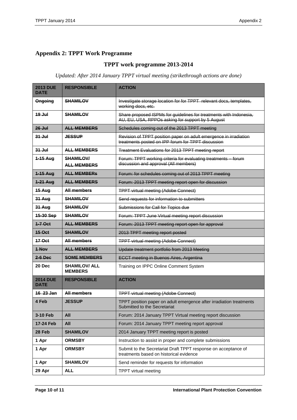# <span id="page-9-0"></span>**Appendix 2: TPPT Work Programme**

## **TPPT work programme 2013-2014**

*Updated: After 2014 January TPPT virtual meeting (strikethrough actions are done)*

| <b>2013 DUE</b><br><b>DATF</b> | <b>RESPONSIBLE</b>                     | <b>ACTION</b>                                                                                                           |
|--------------------------------|----------------------------------------|-------------------------------------------------------------------------------------------------------------------------|
| <b>Ongoing</b>                 | <b>SHAMILOV</b>                        | Investigate storage location for for TPPT relevant docs, templates,<br>working docs, etc.                               |
| $19$ Jul                       | <b>SHAMILOV</b>                        | Share proposed ISPMs for guidelines for treatments with Indonesia.<br>AU, EU, USA, RPPOs asking for support by 5 August |
| $26$ Jul                       | <b>ALL MEMBERS</b>                     | Schedules coming out of the 2013 TPPT meeting                                                                           |
| $31 -$                         | <b>JESSUP</b>                          | Revision of TPPT position paper on adult emergence in irradiation<br>treatments posted on IPP forum for TPPT discussion |
| $31 -$                         | <b>ALL MEMBERS</b>                     | Treatment Evaluations for 2013 TPPT meeting report                                                                      |
| 1-15 Aug                       | <b>SHAMILOV/</b><br><b>ALL MEMBERS</b> | Forum: TPPT working criteria for evaluating treatments - forum<br>discussion and approval (All members)                 |
| $1-15$ Aug                     | <b>ALL MEMBERS</b>                     | Forum: for schedules coming out of 2013 TPPT meeting                                                                    |
| 1-21 Aug                       | ALL MEMBERS                            | Forum: 2013 TPPT meeting report open for discussion                                                                     |
| <b>15 Aug</b>                  | <b>All members</b>                     | <b>TPPT virtual meeting (Adobe Connect)</b>                                                                             |
| 31 Aug                         | <b>SHAMILOV</b>                        | Send requests for information to submitters                                                                             |
| 31 Aug                         | <b>SHAMILOV</b>                        | Submissions for Call for Topics due                                                                                     |
| 15-30 Sep                      | <b>SHAMILOV</b>                        | Forum: TPPT June Virtual meeting report discussion                                                                      |
| $1 - 7$ Oct                    | ALL MEMBERS                            | Forum: 2013 TPPT meeting report open for approval                                                                       |
| <b>15 Oct</b>                  | <b>SHAMILOV</b>                        | 2013 TPPT meeting report posted                                                                                         |
| $17$ Oct                       | All members                            | <b>TPPT virtual meeting (Adobe Connect)</b>                                                                             |
| 1 Nov                          | <b>ALL MEMBERS</b>                     | Update treatment portfolio from 2013 Meeting                                                                            |
| $2-6$ Dec                      | <b>SOME MEMBERS</b>                    | <b>ECCT meeting in Buenos Aires, Argentina</b>                                                                          |
| 20 Dec                         | <b>SHAMILOV/ ALL</b><br><b>MEMBERS</b> | Training on IPPC Online Comment System                                                                                  |
| <b>2014 DUE</b><br><b>DATE</b> | <b>RESPONSIBLE</b>                     | <b>ACTION</b>                                                                                                           |
| 16 23 Jan                      | All members                            | <b>TPPT virtual meeting (Adobe Connect)</b>                                                                             |
| 4 Feb                          | <b>JESSUP</b>                          | TPPT position paper on adult emergence after irradiation treatments<br>Submitted to the Secretariat                     |
| 3-10 Feb                       | All                                    | Forum: 2014 January TPPT Virtual meeting report discussion                                                              |
| 17-24 Feb                      | All                                    | Forum: 2014 January TPPT meeting report approval                                                                        |
| 28 Feb                         | <b>SHAMILOV</b>                        | 2014 January TPPT meeting report is posted                                                                              |
| 1 Apr                          | <b>ORMSBY</b>                          | Instruction to assist in proper and complete submissions                                                                |
| 1 Apr                          | <b>ORMSBY</b>                          | Submit to the Secretariat Draft TPPT response on acceptance of<br>treatments based on historical evidence               |
| 1 Apr                          | <b>SHAMILOV</b>                        | Send reminder for requests for information                                                                              |
| 29 Apr                         | <b>ALL</b>                             | TPPT virtual meeting                                                                                                    |